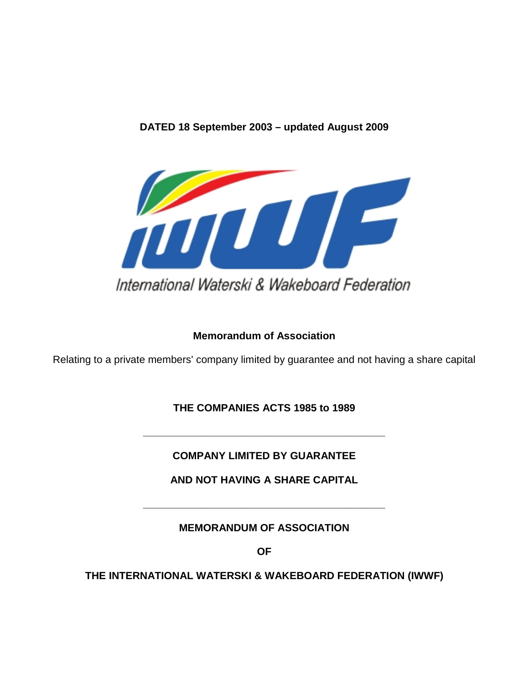## **DATED 18 September 2003 – updated August 2009**



## **Memorandum of Association**

Relating to a private members' company limited by guarantee and not having a share capital

# **THE COMPANIES ACTS 1985 to 1989**

**COMPANY LIMITED BY GUARANTEE** 

**\_\_\_\_\_\_\_\_\_\_\_\_\_\_\_\_\_\_\_\_\_\_\_\_\_\_\_\_\_\_\_\_\_\_\_\_\_\_\_\_\_\_** 

**AND NOT HAVING A SHARE CAPITAL** 

**\_\_\_\_\_\_\_\_\_\_\_\_\_\_\_\_\_\_\_\_\_\_\_\_\_\_\_\_\_\_\_\_\_\_\_\_\_\_\_\_\_\_** 

**MEMORANDUM OF ASSOCIATION** 

**OF** 

**THE INTERNATIONAL WATERSKI & WAKEBOARD FEDERATION (IWWF)**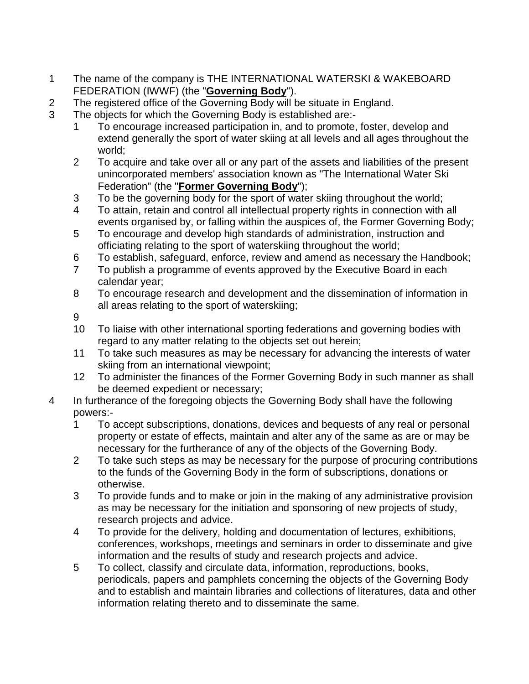- 1 The name of the company is THE INTERNATIONAL WATERSKI & WAKEBOARD FEDERATION (IWWF) (the "**Governing Body**").
- 2 The registered office of the Governing Body will be situate in England.
- 3 The objects for which the Governing Body is established are:-
	- 1 To encourage increased participation in, and to promote, foster, develop and extend generally the sport of water skiing at all levels and all ages throughout the world;
	- 2 To acquire and take over all or any part of the assets and liabilities of the present unincorporated members' association known as "The International Water Ski Federation" (the "**Former Governing Body**");
	- 3 To be the governing body for the sport of water skiing throughout the world;
	- 4 To attain, retain and control all intellectual property rights in connection with all events organised by, or falling within the auspices of, the Former Governing Body;
	- 5 To encourage and develop high standards of administration, instruction and officiating relating to the sport of waterskiing throughout the world;
	- 6 To establish, safeguard, enforce, review and amend as necessary the Handbook;
	- 7 To publish a programme of events approved by the Executive Board in each calendar year;
	- 8 To encourage research and development and the dissemination of information in all areas relating to the sport of waterskiing;
	- 9
	- 10 To liaise with other international sporting federations and governing bodies with regard to any matter relating to the objects set out herein;
	- 11 To take such measures as may be necessary for advancing the interests of water skiing from an international viewpoint;
	- 12 To administer the finances of the Former Governing Body in such manner as shall be deemed expedient or necessary;
- 4 In furtherance of the foregoing objects the Governing Body shall have the following powers:-
	- 1 To accept subscriptions, donations, devices and bequests of any real or personal property or estate of effects, maintain and alter any of the same as are or may be necessary for the furtherance of any of the objects of the Governing Body.
	- 2 To take such steps as may be necessary for the purpose of procuring contributions to the funds of the Governing Body in the form of subscriptions, donations or otherwise.
	- 3 To provide funds and to make or join in the making of any administrative provision as may be necessary for the initiation and sponsoring of new projects of study, research projects and advice.
	- 4 To provide for the delivery, holding and documentation of lectures, exhibitions, conferences, workshops, meetings and seminars in order to disseminate and give information and the results of study and research projects and advice.
	- 5 To collect, classify and circulate data, information, reproductions, books, periodicals, papers and pamphlets concerning the objects of the Governing Body and to establish and maintain libraries and collections of literatures, data and other information relating thereto and to disseminate the same.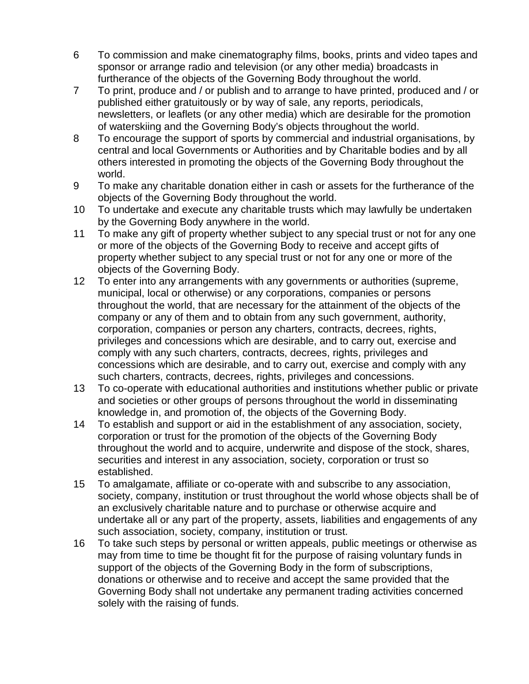- 6 To commission and make cinematography films, books, prints and video tapes and sponsor or arrange radio and television (or any other media) broadcasts in furtherance of the objects of the Governing Body throughout the world.
- 7 To print, produce and / or publish and to arrange to have printed, produced and / or published either gratuitously or by way of sale, any reports, periodicals, newsletters, or leaflets (or any other media) which are desirable for the promotion of waterskiing and the Governing Body's objects throughout the world.
- 8 To encourage the support of sports by commercial and industrial organisations, by central and local Governments or Authorities and by Charitable bodies and by all others interested in promoting the objects of the Governing Body throughout the world.
- 9 To make any charitable donation either in cash or assets for the furtherance of the objects of the Governing Body throughout the world.
- 10 To undertake and execute any charitable trusts which may lawfully be undertaken by the Governing Body anywhere in the world.
- 11 To make any gift of property whether subject to any special trust or not for any one or more of the objects of the Governing Body to receive and accept gifts of property whether subject to any special trust or not for any one or more of the objects of the Governing Body.
- 12 To enter into any arrangements with any governments or authorities (supreme, municipal, local or otherwise) or any corporations, companies or persons throughout the world, that are necessary for the attainment of the objects of the company or any of them and to obtain from any such government, authority, corporation, companies or person any charters, contracts, decrees, rights, privileges and concessions which are desirable, and to carry out, exercise and comply with any such charters, contracts, decrees, rights, privileges and concessions which are desirable, and to carry out, exercise and comply with any such charters, contracts, decrees, rights, privileges and concessions.
- 13 To co-operate with educational authorities and institutions whether public or private and societies or other groups of persons throughout the world in disseminating knowledge in, and promotion of, the objects of the Governing Body.
- 14 To establish and support or aid in the establishment of any association, society, corporation or trust for the promotion of the objects of the Governing Body throughout the world and to acquire, underwrite and dispose of the stock, shares, securities and interest in any association, society, corporation or trust so established.
- 15 To amalgamate, affiliate or co-operate with and subscribe to any association, society, company, institution or trust throughout the world whose objects shall be of an exclusively charitable nature and to purchase or otherwise acquire and undertake all or any part of the property, assets, liabilities and engagements of any such association, society, company, institution or trust.
- 16 To take such steps by personal or written appeals, public meetings or otherwise as may from time to time be thought fit for the purpose of raising voluntary funds in support of the objects of the Governing Body in the form of subscriptions, donations or otherwise and to receive and accept the same provided that the Governing Body shall not undertake any permanent trading activities concerned solely with the raising of funds.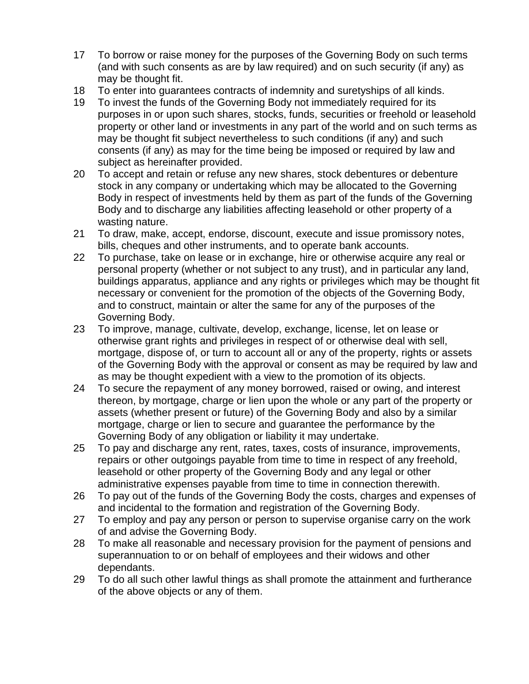- 17 To borrow or raise money for the purposes of the Governing Body on such terms (and with such consents as are by law required) and on such security (if any) as may be thought fit.
- 18 To enter into guarantees contracts of indemnity and suretyships of all kinds.
- 19 To invest the funds of the Governing Body not immediately required for its purposes in or upon such shares, stocks, funds, securities or freehold or leasehold property or other land or investments in any part of the world and on such terms as may be thought fit subject nevertheless to such conditions (if any) and such consents (if any) as may for the time being be imposed or required by law and subject as hereinafter provided.
- 20 To accept and retain or refuse any new shares, stock debentures or debenture stock in any company or undertaking which may be allocated to the Governing Body in respect of investments held by them as part of the funds of the Governing Body and to discharge any liabilities affecting leasehold or other property of a wasting nature.
- 21 To draw, make, accept, endorse, discount, execute and issue promissory notes, bills, cheques and other instruments, and to operate bank accounts.
- 22 To purchase, take on lease or in exchange, hire or otherwise acquire any real or personal property (whether or not subject to any trust), and in particular any land, buildings apparatus, appliance and any rights or privileges which may be thought fit necessary or convenient for the promotion of the objects of the Governing Body, and to construct, maintain or alter the same for any of the purposes of the Governing Body.
- 23 To improve, manage, cultivate, develop, exchange, license, let on lease or otherwise grant rights and privileges in respect of or otherwise deal with sell, mortgage, dispose of, or turn to account all or any of the property, rights or assets of the Governing Body with the approval or consent as may be required by law and as may be thought expedient with a view to the promotion of its objects.
- 24 To secure the repayment of any money borrowed, raised or owing, and interest thereon, by mortgage, charge or lien upon the whole or any part of the property or assets (whether present or future) of the Governing Body and also by a similar mortgage, charge or lien to secure and guarantee the performance by the Governing Body of any obligation or liability it may undertake.
- 25 To pay and discharge any rent, rates, taxes, costs of insurance, improvements, repairs or other outgoings payable from time to time in respect of any freehold, leasehold or other property of the Governing Body and any legal or other administrative expenses payable from time to time in connection therewith.
- 26 To pay out of the funds of the Governing Body the costs, charges and expenses of and incidental to the formation and registration of the Governing Body.
- 27 To employ and pay any person or person to supervise organise carry on the work of and advise the Governing Body.
- 28 To make all reasonable and necessary provision for the payment of pensions and superannuation to or on behalf of employees and their widows and other dependants.
- 29 To do all such other lawful things as shall promote the attainment and furtherance of the above objects or any of them.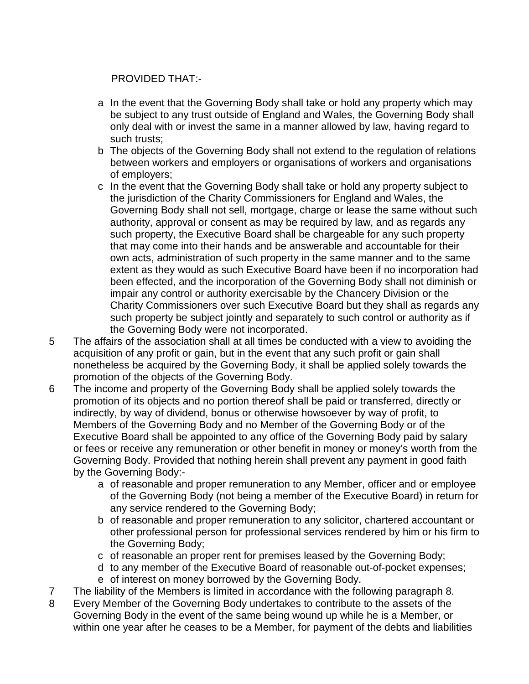# PROVIDED THAT:-

- a In the event that the Governing Body shall take or hold any property which may be subject to any trust outside of England and Wales, the Governing Body shall only deal with or invest the same in a manner allowed by law, having regard to such trusts;
- b The objects of the Governing Body shall not extend to the regulation of relations between workers and employers or organisations of workers and organisations of employers;
- c In the event that the Governing Body shall take or hold any property subject to the jurisdiction of the Charity Commissioners for England and Wales, the Governing Body shall not sell, mortgage, charge or lease the same without such authority, approval or consent as may be required by law, and as regards any such property, the Executive Board shall be chargeable for any such property that may come into their hands and be answerable and accountable for their own acts, administration of such property in the same manner and to the same extent as they would as such Executive Board have been if no incorporation had been effected, and the incorporation of the Governing Body shall not diminish or impair any control or authority exercisable by the Chancery Division or the Charity Commissioners over such Executive Board but they shall as regards any such property be subject jointly and separately to such control or authority as if the Governing Body were not incorporated.
- 5 The affairs of the association shall at all times be conducted with a view to avoiding the acquisition of any profit or gain, but in the event that any such profit or gain shall nonetheless be acquired by the Governing Body, it shall be applied solely towards the promotion of the objects of the Governing Body.
- 6 The income and property of the Governing Body shall be applied solely towards the promotion of its objects and no portion thereof shall be paid or transferred, directly or indirectly, by way of dividend, bonus or otherwise howsoever by way of profit, to Members of the Governing Body and no Member of the Governing Body or of the Executive Board shall be appointed to any office of the Governing Body paid by salary or fees or receive any remuneration or other benefit in money or money's worth from the Governing Body. Provided that nothing herein shall prevent any payment in good faith by the Governing Body:
	- a of reasonable and proper remuneration to any Member, officer and or employee of the Governing Body (not being a member of the Executive Board) in return for any service rendered to the Governing Body;
	- b of reasonable and proper remuneration to any solicitor, chartered accountant or other professional person for professional services rendered by him or his firm to the Governing Body;
	- c of reasonable an proper rent for premises leased by the Governing Body;
	- d to any member of the Executive Board of reasonable out-of-pocket expenses;
	- e of interest on money borrowed by the Governing Body.
- 7 The liability of the Members is limited in accordance with the following paragraph 8.
- 8 Every Member of the Governing Body undertakes to contribute to the assets of the Governing Body in the event of the same being wound up while he is a Member, or within one year after he ceases to be a Member, for payment of the debts and liabilities